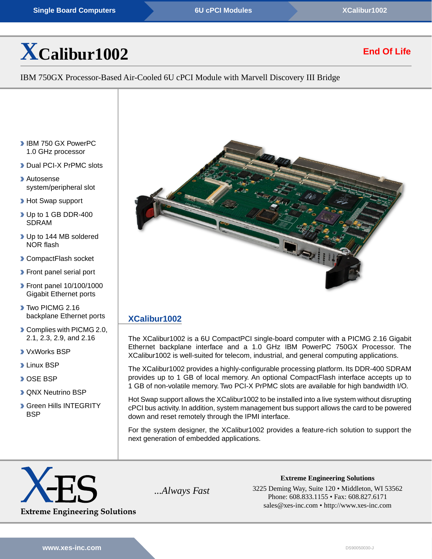# **[X](http://www.xes-inc.com/products/view/xcalibur1002/?utm_source=dynamic&utm_medium=referral&utm_term=XCalibur1002&utm_content=Title&utm_campaign=Datasheet)[Calibur1002](http://www.xes-inc.com/products/view/xcalibur1002/?utm_source=dynamic&utm_medium=referral&utm_term=XCalibur1002&utm_content=Title&utm_campaign=Datasheet)**

# **End Of Life**

IBM 750GX Processor-Based Air-Cooled 6U cPCI Module with Marvell Discovery III Bridge

- **IBM 750 GX PowerPC** 1.0 GHz processor
- Dual PCI-X PrPMC slots
- Autosense system/peripheral slot
- **Hot Swap support**
- ▶ Up to 1 GB DDR-400 SDRAM
- ▶ Up to 144 MB soldered NOR flash
- **CompactFlash socket**
- **Front panel serial port**
- **Front panel 10/100/1000** Gigabit Ethernet ports
- Two PICMG 2.16 backplane Ethernet ports
- Complies with PICMG 2.0, 2.1, 2.3, 2.9, and 2.16
- VxWorks BSP
- **D** Linux BSP
- **DOSE BSP**
- **D** QNX Neutrino BSP
- **Green Hills INTEGRITY BSP**



## **[XCalibur1002](http://www.xes-inc.com/products/view/xcalibur1002/?utm_source=dynamic&utm_medium=referral&utm_term=XCalibur1002&utm_content=Description%20Title&utm_campaign=Datasheet)**

The XCalibur1002 is a 6U CompactPCI single-board computer with a PICMG 2.16 Gigabit Ethernet backplane interface and a 1.0 GHz IBM PowerPC 750GX Processor. The XCalibur1002 is well-suited for telecom, industrial, and general computing applications.

The XCalibur1002 provides a highly-configurable processing platform. Its DDR-400 SDRAM provides up to 1 GB of local memory. An optional CompactFlash interface accepts up to 1 GB of non-volatile memory. Two PCI-X PrPMC slots are available for high bandwidth I/O.

Hot Swap support allows the XCalibur1002 to be installed into a live system without disrupting cPCI bus activity. In addition, system management bus support allows the card to be powered down and reset remotely through the IPMI interface.

For the system designer, the XCalibur1002 provides a feature-rich solution to support the next generation of embedded applications.



*...Always Fast* 3225 Deming Way, Suite 120 • Middleton, WI 53562 Phone: 608.833.1155 • Fax: 608.827.6171 sales@xes-inc.com • <http://www.xes-inc.com>

**Extreme Engineering Solutions**